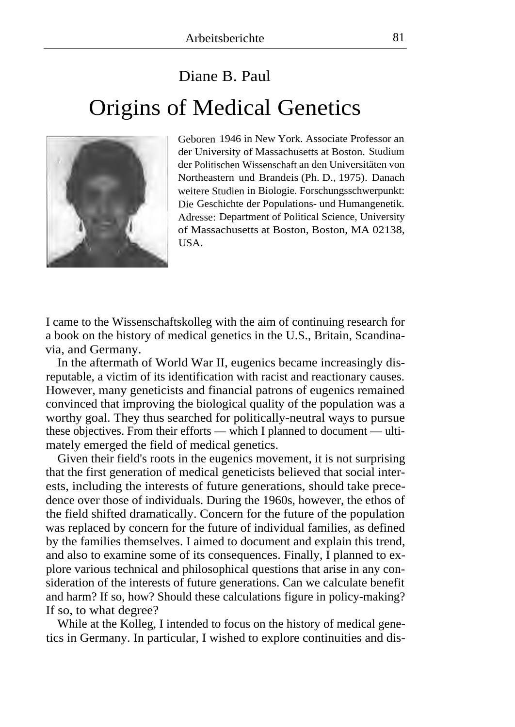## Diane B. Paul Origins of Medical Genetics



Geboren 1946 in New York. Associate Professor an der University of Massachusetts at Boston. Studium der Politischen Wissenschaft an den Universitäten von Northeastern und Brandeis (Ph. D., 1975). Danach weitere Studien in Biologie. Forschungsschwerpunkt: Die Geschichte der Populations- und Humangenetik. Adresse: Department of Political Science, University of Massachusetts at Boston, Boston, MA 02138, **IISA** 

I came to the Wissenschaftskolleg with the aim of continuing research for a book on the history of medical genetics in the U.S., Britain, Scandinavia, and Germany.

In the aftermath of World War II, eugenics became increasingly disreputable, a victim of its identification with racist and reactionary causes. However, many geneticists and financial patrons of eugenics remained convinced that improving the biological quality of the population was a worthy goal. They thus searched for politically-neutral ways to pursue these objectives. From their efforts — which I planned to document — ultimately emerged the field of medical genetics.

Given their field's roots in the eugenics movement, it is not surprising that the first generation of medical geneticists believed that social interests, including the interests of future generations, should take precedence over those of individuals. During the 1960s, however, the ethos of the field shifted dramatically. Concern for the future of the population was replaced by concern for the future of individual families, as defined by the families themselves. I aimed to document and explain this trend, and also to examine some of its consequences. Finally, I planned to explore various technical and philosophical questions that arise in any consideration of the interests of future generations. Can we calculate benefit and harm? If so, how? Should these calculations figure in policy-making? If so, to what degree?

While at the Kolleg, I intended to focus on the history of medical genetics in Germany. In particular, I wished to explore continuities and dis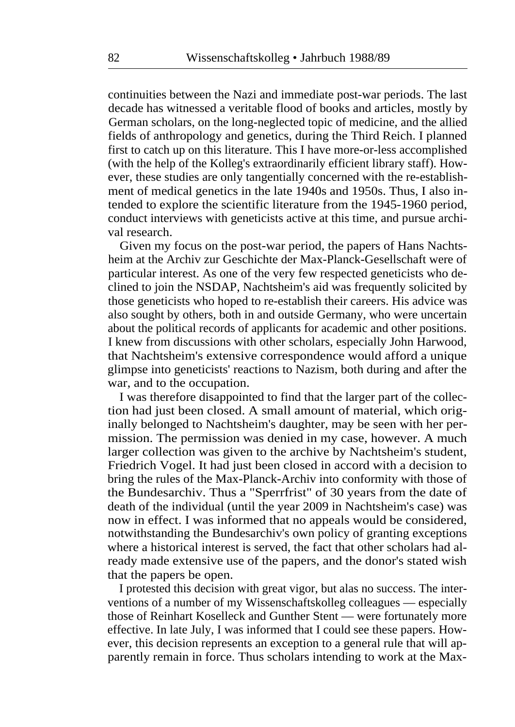continuities between the Nazi and immediate post-war periods. The last decade has witnessed a veritable flood of books and articles, mostly by German scholars, on the long-neglected topic of medicine, and the allied fields of anthropology and genetics, during the Third Reich. I planned first to catch up on this literature. This I have more-or-less accomplished (with the help of the Kolleg's extraordinarily efficient library staff). However, these studies are only tangentially concerned with the re-establishment of medical genetics in the late 1940s and 1950s. Thus, I also intended to explore the scientific literature from the 1945-1960 period, conduct interviews with geneticists active at this time, and pursue archival research.

Given my focus on the post-war period, the papers of Hans Nachtsheim at the Archiv zur Geschichte der Max-Planck-Gesellschaft were of particular interest. As one of the very few respected geneticists who declined to join the NSDAP, Nachtsheim's aid was frequently solicited by those geneticists who hoped to re-establish their careers. His advice was also sought by others, both in and outside Germany, who were uncertain about the political records of applicants for academic and other positions. I knew from discussions with other scholars, especially John Harwood, that Nachtsheim's extensive correspondence would afford a unique glimpse into geneticists' reactions to Nazism, both during and after the war, and to the occupation.

I was therefore disappointed to find that the larger part of the collection had just been closed. A small amount of material, which originally belonged to Nachtsheim's daughter, may be seen with her permission. The permission was denied in my case, however. A much larger collection was given to the archive by Nachtsheim's student, Friedrich Vogel. It had just been closed in accord with a decision to bring the rules of the Max-Planck-Archiv into conformity with those of the Bundesarchiv. Thus a "Sperrfrist" of 30 years from the date of death of the individual (until the year 2009 in Nachtsheim's case) was now in effect. I was informed that no appeals would be considered, notwithstanding the Bundesarchiv's own policy of granting exceptions where a historical interest is served, the fact that other scholars had already made extensive use of the papers, and the donor's stated wish that the papers be open.

I protested this decision with great vigor, but alas no success. The interventions of a number of my Wissenschaftskolleg colleagues — especially those of Reinhart Koselleck and Gunther Stent — were fortunately more effective. In late July, I was informed that I could see these papers. However, this decision represents an exception to a general rule that will apparently remain in force. Thus scholars intending to work at the Max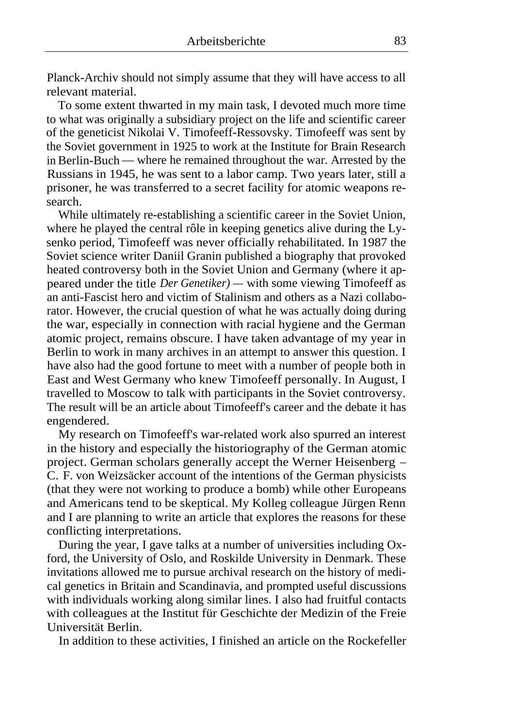Planck-Archiv should not simply assume that they will have access to all relevant material.

To some extent thwarted in my main task, I devoted much more time to what was originally a subsidiary project on the life and scientific career of the geneticist Nikolai V. Timofeeff-Ressovsky. Timofeeff was sent by the Soviet government in 1925 to work at the Institute for Brain Research in Berlin-Buch — where he remained throughout the war. Arrested by the Russians in 1945, he was sent to a labor camp. Two years later, still a prisoner, he was transferred to a secret facility for atomic weapons research.

While ultimately re-establishing a scientific career in the Soviet Union, where he played the central rôle in keeping genetics alive during the Lysenko period, Timofeeff was never officially rehabilitated. In 1987 the Soviet science writer Daniil Granin published a biography that provoked heated controversy both in the Soviet Union and Germany (where it appeared under the title *Der Genetiker) —* with some viewing Timofeeff as an anti-Fascist hero and victim of Stalinism and others as a Nazi collaborator. However, the crucial question of what he was actually doing during the war, especially in connection with racial hygiene and the German atomic project, remains obscure. I have taken advantage of my year in Berlin to work in many archives in an attempt to answer this question. I have also had the good fortune to meet with a number of people both in East and West Germany who knew Timofeeff personally. In August, I travelled to Moscow to talk with participants in the Soviet controversy. The result will be an article about Timofeeff's career and the debate it has engendered.

My research on Timofeeff's war-related work also spurred an interest in the history and especially the historiography of the German atomic project. German scholars generally accept the Werner Heisenberg — C. F. von Weizsäcker account of the intentions of the German physicists (that they were not working to produce a bomb) while other Europeans and Americans tend to be skeptical. My Kolleg colleague Jürgen Renn and I are planning to write an article that explores the reasons for these conflicting interpretations.

During the year, I gave talks at a number of universities including Oxford, the University of Oslo, and Roskilde University in Denmark. These invitations allowed me to pursue archival research on the history of medical genetics in Britain and Scandinavia, and prompted useful discussions with individuals working along similar lines. I also had fruitful contacts with colleagues at the Institut für Geschichte der Medizin of the Freie Universität Berlin.

In addition to these activities, I finished an article on the Rockefeller